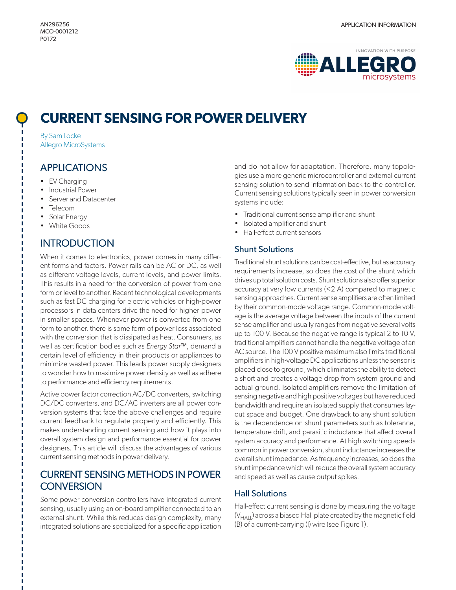

# **CURRENT SENSING FOR POWER DELIVERY**

By Sam Locke Allegro MicroSystems

#### APPLICATIONS

• EV Charging

П

- Industrial Power
- Server and Datacenter
- Telecom
- Solar Energy
- White Goods

# **INTRODUCTION**

When it comes to electronics, power comes in many different forms and factors. Power rails can be AC or DC, as well as different voltage levels, current levels, and power limits. This results in a need for the conversion of power from one form or level to another. Recent technological developments such as fast DC charging for electric vehicles or high-power processors in data centers drive the need for higher power in smaller spaces. Whenever power is converted from one form to another, there is some form of power loss associated with the conversion that is dissipated as heat. Consumers, as well as certification bodies such as *Energy Star™*, demand a certain level of efficiency in their products or appliances to minimize wasted power. This leads power supply designers to wonder how to maximize power density as well as adhere to performance and efficiency requirements.

Active power factor correction AC/DC converters, switching DC/DC converters, and DC/AC inverters are all power conversion systems that face the above challenges and require current feedback to regulate properly and efficiently. This makes understanding current sensing and how it plays into overall system design and performance essential for power designers. This article will discuss the advantages of various current sensing methods in power delivery.

# CURRENT SENSING METHODS IN POWER **CONVERSION**

Some power conversion controllers have integrated current sensing, usually using an on-board amplifier connected to an external shunt. While this reduces design complexity, many integrated solutions are specialized for a specific application

and do not allow for adaptation. Therefore, many topologies use a more generic microcontroller and external current sensing solution to send information back to the controller. Current sensing solutions typically seen in power conversion systems include:

- Traditional current sense amplifier and shunt
- Isolated amplifier and shunt
- Hall-effect current sensors

#### Shunt Solutions

Traditional shunt solutions can be cost-effective, but as accuracy requirements increase, so does the cost of the shunt which drives up total solution costs. Shunt solutions also offer superior accuracy at very low currents (<2 A) compared to magnetic sensing approaches. Current sense amplifiers are often limited by their common-mode voltage range. Common-mode voltage is the average voltage between the inputs of the current sense amplifier and usually ranges from negative several volts up to 100 V. Because the negative range is typical 2 to 10 V, traditional amplifiers cannot handle the negative voltage of an AC source. The 100 V positive maximum also limits traditional amplifiers in high-voltage DC applications unless the sensor is placed close to ground, which eliminates the ability to detect a short and creates a voltage drop from system ground and actual ground. Isolated amplifiers remove the limitation of sensing negative and high positive voltages but have reduced bandwidth and require an isolated supply that consumes layout space and budget. One drawback to any shunt solution is the dependence on shunt parameters such as tolerance, temperature drift, and parasitic inductance that affect overall system accuracy and performance. At high switching speeds common in power conversion, shunt inductance increases the overall shunt impedance. As frequency increases, so does the shunt impedance which will reduce the overall system accuracy and speed as well as cause output spikes.

#### Hall Solutions

Hall-effect current sensing is done by measuring the voltage (V<sub>HALL</sub>) across a biased Hall plate created by the magnetic field (B) of a current-carrying (I) wire (see [Figure 1](#page-1-0)).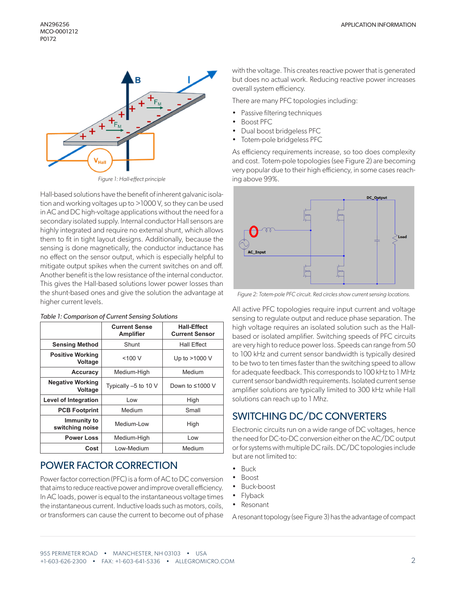

*Figure 1: Hall-effect principle*

Hall-based solutions have the benefit of inherent galvanic isolation and working voltages up to >1000 V, so they can be used in AC and DC high-voltage applications without the need for a secondary isolated supply. Internal conductor Hall sensors are highly integrated and require no external shunt, which allows them to fit in tight layout designs. Additionally, because the sensing is done magnetically, the conductor inductance has no effect on the sensor output, which is especially helpful to mitigate output spikes when the current switches on and off. Another benefit is the low resistance of the internal conductor. This gives the Hall-based solutions lower power losses than the shunt-based ones and give the solution the advantage at higher current levels.

|                                    | <b>Current Sense</b><br><b>Amplifier</b> | <b>Hall-Effect</b><br><b>Current Sensor</b> |  |
|------------------------------------|------------------------------------------|---------------------------------------------|--|
| <b>Sensing Method</b>              | Shunt                                    | <b>Hall Effect</b>                          |  |
| <b>Positive Working</b><br>Voltage | $<$ 100 $V$                              | Up to >1000 V                               |  |
| <b>Accuracy</b>                    | Medium-High                              | Medium                                      |  |
| <b>Negative Working</b><br>Voltage | Typically $-5$ to 10 V                   | Down to $\leq 1000$ V                       |  |
| <b>Level of Integration</b>        | Low                                      | High                                        |  |
| <b>PCB Footprint</b>               | Medium                                   | Small                                       |  |
| Immunity to<br>switching noise     | Medium-Low                               | High                                        |  |
| <b>Power Loss</b>                  | Medium-High                              | Low                                         |  |
| Cost                               | Low-Medium                               | Medium                                      |  |

# POWER FACTOR CORRECTION

Power factor correction (PFC) is a form of AC to DC conversion that aims to reduce reactive power and improve overall efficiency. In AC loads, power is equal to the instantaneous voltage times the instantaneous current. Inductive loads such as motors, coils, or transformers can cause the current to become out of phase

with the voltage. This creates reactive power that is generated but does no actual work. Reducing reactive power increases overall system efficiency.

There are many PFC topologies including:

- Passive filtering techniques
- Boost PFC
- Dual boost bridgeless PFC
- Totem-pole bridgeless PFC

As efficiency requirements increase, so too does complexity and cost. Totem-pole topologies (see [Figure 2](#page-1-1)) are becoming very popular due to their high efficiency, in some cases reaching above 99%.

<span id="page-1-0"></span>

<span id="page-1-1"></span>*Figure 2: Totem-pole PFC circuit. Red circles show current sensing locations.*

All active PFC topologies require input current and voltage sensing to regulate output and reduce phase separation. The high voltage requires an isolated solution such as the Hallbased or isolated amplifier. Switching speeds of PFC circuits are very high to reduce power loss. Speeds can range from 50 to 100 kHz and current sensor bandwidth is typically desired to be two to ten times faster than the switching speed to allow for adequate feedback. This corresponds to 100 kHz to 1 MHz current sensor bandwidth requirements. Isolated current sense amplifier solutions are typically limited to 300 kHz while Hall solutions can reach up to 1 Mhz.

### SWITCHING DC/DC CONVERTERS

Electronic circuits run on a wide range of DC voltages, hence the need for DC-to-DC conversion either on the AC/DC output or for systems with multiple DC rails. DC/DC topologies include but are not limited to:

- Buck
- Boost
- Buck-boost
- Flyback
- Resonant

A resonant topology (see [Figure 3](#page-2-0)) has the advantage of compact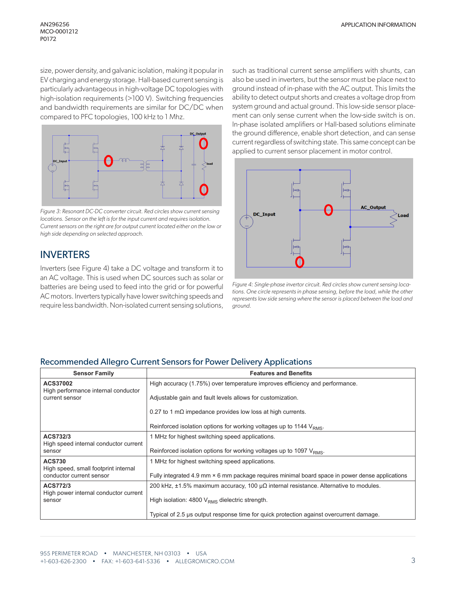size, power density, and galvanic isolation, making it popular in EV charging and energy storage. Hall-based current sensing is particularly advantageous in high-voltage DC topologies with high-isolation requirements (>100 V). Switching frequencies and bandwidth requirements are similar for DC/DC when compared to PFC topologies, 100 kHz to 1 Mhz.



<span id="page-2-0"></span>*Figure 3: Resonant DC-DC converter circuit. Red circles show current sensing locations. Sensor on the left is for the input current and requires isolation. Current sensors on the right are for output current located either on the low or high side depending on selected approach.*

### INVERTERS

Inverters (see [Figure 4](#page-2-1)) take a DC voltage and transform it to an AC voltage. This is used when DC sources such as solar or batteries are being used to feed into the grid or for powerful AC motors. Inverters typically have lower switching speeds and require less bandwidth. Non-isolated current sensing solutions,

such as traditional current sense amplifiers with shunts, can also be used in inverters, but the sensor must be place next to ground instead of in-phase with the AC output. This limits the ability to detect output shorts and creates a voltage drop from system ground and actual ground. This low-side sensor placement can only sense current when the low-side switch is on. In-phase isolated amplifiers or Hall-based solutions eliminate the ground difference, enable short detection, and can sense current regardless of switching state. This same concept can be applied to current sensor placement in motor control.



<span id="page-2-1"></span>*Figure 4: Single-phase invertor circuit. Red circles show current sensing locations. One circle represents in phase sensing, before the load, while the other represents low side sensing where the sensor is placed between the load and ground.*

#### Recommended Allegro Current Sensors for Power Delivery Applications

| <b>Sensor Family</b>                                             | <b>Features and Benefits</b>                                                                       |  |
|------------------------------------------------------------------|----------------------------------------------------------------------------------------------------|--|
| ACS37002                                                         | High accuracy (1.75%) over temperature improves efficiency and performance.                        |  |
| High performance internal conductor<br>current sensor            | Adjustable gain and fault levels allows for customization.                                         |  |
|                                                                  | 0.27 to 1 m $\Omega$ impedance provides low loss at high currents.                                 |  |
|                                                                  | Reinforced isolation options for working voltages up to 1144 V <sub>RMS</sub> .                    |  |
| ACS732/3                                                         | 1 MHz for highest switching speed applications.                                                    |  |
| High speed internal conductor current<br>sensor                  | Reinforced isolation options for working voltages up to 1097 V <sub>RMS</sub> .                    |  |
| <b>ACS730</b>                                                    | 1 MHz for highest switching speed applications.                                                    |  |
| High speed, small footprint internal<br>conductor current sensor | Fully integrated 4.9 mm × 6 mm package requires minimal board space in power dense applications    |  |
| ACS772/3                                                         | 200 kHz, $\pm$ 1.5% maximum accuracy, 100 $\mu\Omega$ internal resistance. Alternative to modules. |  |
| High power internal conductor current<br>sensor                  | High isolation: 4800 V <sub>RMS</sub> dielectric strength.                                         |  |
|                                                                  | Typical of 2.5 µs output response time for quick protection against overcurrent damage.            |  |